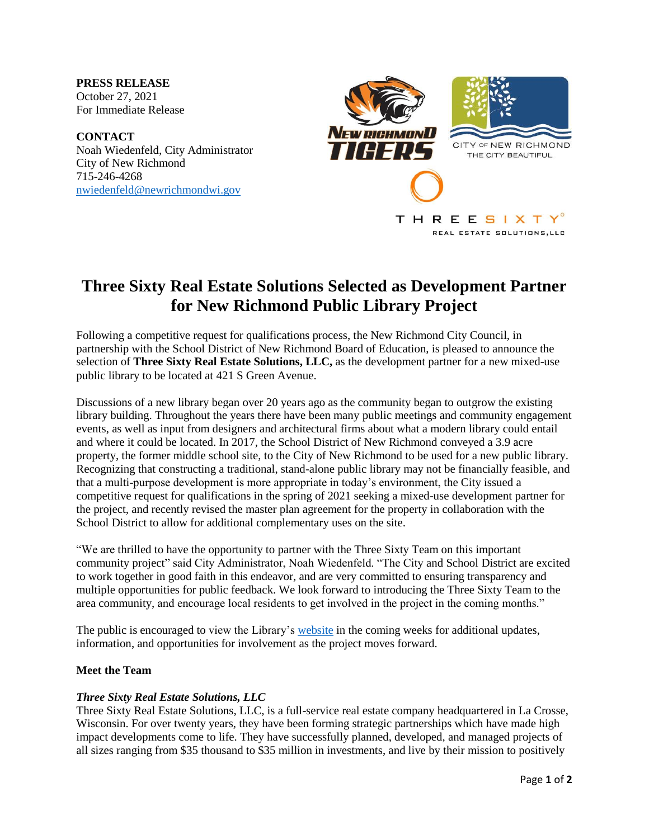**PRESS RELEASE** October 27, 2021 For Immediate Release

**CONTACT** Noah Wiedenfeld, City Administrator City of New Richmond 715-246-4268 [nwiedenfeld@newrichmondwi.gov](mailto:nwiedenfeld@newrichmondwi.gov)



# **Three Sixty Real Estate Solutions Selected as Development Partner for New Richmond Public Library Project**

Following a competitive request for qualifications process, the New Richmond City Council, in partnership with the School District of New Richmond Board of Education, is pleased to announce the selection of **Three Sixty Real Estate Solutions, LLC,** as the development partner for a new mixed-use public library to be located at 421 S Green Avenue.

Discussions of a new library began over 20 years ago as the community began to outgrow the existing library building. Throughout the years there have been many public meetings and community engagement events, as well as input from designers and architectural firms about what a modern library could entail and where it could be located. In 2017, the School District of New Richmond conveyed a 3.9 acre property, the former middle school site, to the City of New Richmond to be used for a new public library. Recognizing that constructing a traditional, stand-alone public library may not be financially feasible, and that a multi-purpose development is more appropriate in today's environment, the City issued a competitive request for qualifications in the spring of 2021 seeking a mixed-use development partner for the project, and recently revised the master plan agreement for the property in collaboration with the School District to allow for additional complementary uses on the site.

"We are thrilled to have the opportunity to partner with the Three Sixty Team on this important community project" said City Administrator, Noah Wiedenfeld. "The City and School District are excited to work together in good faith in this endeavor, and are very committed to ensuring transparency and multiple opportunities for public feedback. We look forward to introducing the Three Sixty Team to the area community, and encourage local residents to get involved in the project in the coming months."

The public is encouraged to view the Library's [website](https://www.newrichmondlibrary.org/) in the coming weeks for additional updates, information, and opportunities for involvement as the project moves forward.

## **Meet the Team**

## *Three Sixty Real Estate Solutions, LLC*

Three Sixty Real Estate Solutions, LLC, is a full-service real estate company headquartered in La Crosse, Wisconsin. For over twenty years, they have been forming strategic partnerships which have made high impact developments come to life. They have successfully planned, developed, and managed projects of all sizes ranging from \$35 thousand to \$35 million in investments, and live by their mission to positively